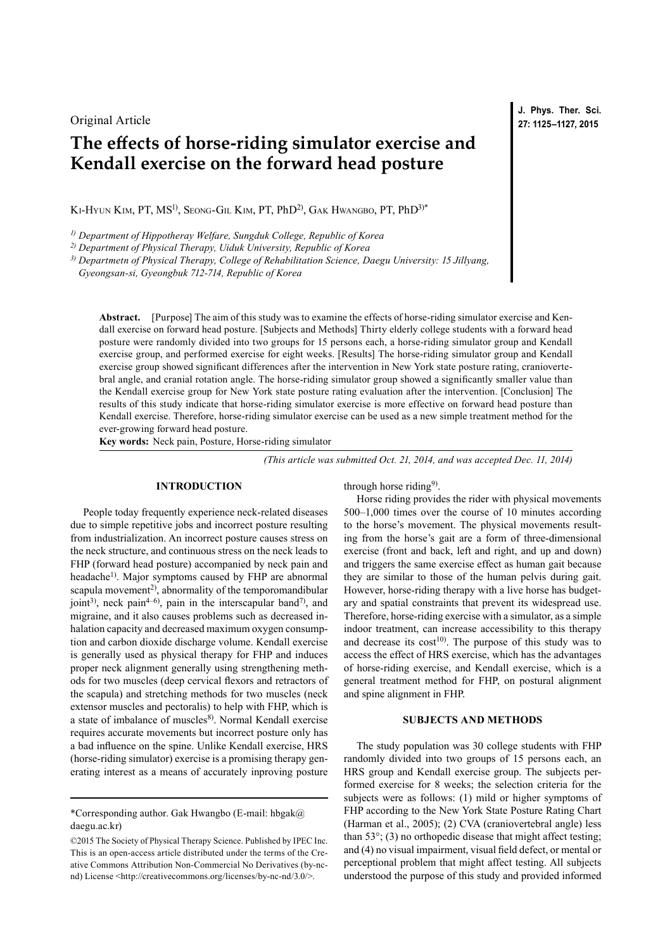## Original Article

# **The effects of horse-riding simulator exercise and Kendall exercise on the forward head posture**

KI-HYUN KIM, PT, MS<sup>1)</sup>, SEONG-GIL KIM, PT, PhD<sup>2)</sup>, GAK HWANGBO, PT, PhD<sup>3)\*</sup>

*1) Department of Hippotheray Welfare, Sungduk College, Republic of Korea*

*2) Department of Physical Therapy, Uiduk University, Republic of Korea*

*3) Departmetn of Physical Therapy, College of Rehabilitation Science, Daegu University: 15 Jillyang,* 

*Gyeongsan-si, Gyeongbuk 712-714, Republic of Korea*

**Abstract.** [Purpose] The aim of this study was to examine the effects of horse-riding simulator exercise and Kendall exercise on forward head posture. [Subjects and Methods] Thirty elderly college students with a forward head posture were randomly divided into two groups for 15 persons each, a horse-riding simulator group and Kendall exercise group, and performed exercise for eight weeks. [Results] The horse-riding simulator group and Kendall exercise group showed significant differences after the intervention in New York state posture rating, craniovertebral angle, and cranial rotation angle. The horse-riding simulator group showed a significantly smaller value than the Kendall exercise group for New York state posture rating evaluation after the intervention. [Conclusion] The results of this study indicate that horse-riding simulator exercise is more effective on forward head posture than Kendall exercise. Therefore, horse-riding simulator exercise can be used as a new simple treatment method for the ever-growing forward head posture.

**Key words:** Neck pain, Posture, Horse-riding simulator

*(This article was submitted Oct. 21, 2014, and was accepted Dec. 11, 2014)*

### **INTRODUCTION**

People today frequently experience neck-related diseases due to simple repetitive jobs and incorrect posture resulting from industrialization. An incorrect posture causes stress on the neck structure, and continuous stress on the neck leads to FHP (forward head posture) accompanied by neck pain and headache<sup>[1](#page-2-0))</sup>. Major symptoms caused by FHP are abnormal scapula movement<sup>[2\)](#page-2-1)</sup>, abnormality of the temporomandibular joint<sup>[3](#page-2-2))</sup>, neck pain<sup>4-6)</sup>, pain in the interscapular band<sup>7)</sup>, and migraine, and it also causes problems such as decreased inhalation capacity and decreased maximum oxygen consumption and carbon dioxide discharge volume. Kendall exercise is generally used as physical therapy for FHP and induces proper neck alignment generally using strengthening methods for two muscles (deep cervical flexors and retractors of the scapula) and stretching methods for two muscles (neck extensor muscles and pectoralis) to help with FHP, which is a state of imbalance of muscles<sup>[8](#page-2-5))</sup>. Normal Kendall exercise requires accurate movements but incorrect posture only has a bad influence on the spine. Unlike Kendall exercise, HRS (horse-riding simulator) exercise is a promising therapy generating interest as a means of accurately inproving posture

through horse riding<sup>9)</sup>.

Horse riding provides the rider with physical movements 500–1,000 times over the course of 10 minutes according to the horse's movement. The physical movements resulting from the horse's gait are a form of three-dimensional exercise (front and back, left and right, and up and down) and triggers the same exercise effect as human gait because they are similar to those of the human pelvis during gait. However, horse-riding therapy with a live horse has budgetary and spatial constraints that prevent its widespread use. Therefore, horse-riding exercise with a simulator, as a simple indoor treatment, can increase accessibility to this therapy and decrease its  $cost^{10}$  $cost^{10}$  $cost^{10}$ . The purpose of this study was to access the effect of HRS exercise, which has the advantages of horse-riding exercise, and Kendall exercise, which is a general treatment method for FHP, on postural alignment and spine alignment in FHP.

#### **SUBJECTS AND METHODS**

The study population was 30 college students with FHP randomly divided into two groups of 15 persons each, an HRS group and Kendall exercise group. The subjects performed exercise for 8 weeks; the selection criteria for the subjects were as follows: (1) mild or higher symptoms of FHP according to the New York State Posture Rating Chart (Harman et al., 2005); (2) CVA (craniovertebral angle) less than  $53^{\circ}$ ; (3) no orthopedic disease that might affect testing; and (4) no visual impairment, visual field defect, or mental or perceptional problem that might affect testing. All subjects understood the purpose of this study and provided informed

**J. Phys. Ther. Sci. 27: 1125–1127, 2015**

<sup>\*</sup>Corresponding author. Gak Hwangbo (E-mail: hbgak $@$ daegu.ac.kr)

<sup>©2015</sup> The Society of Physical Therapy Science. Published by IPEC Inc. This is an open-access article distributed under the terms of the Creative Commons Attribution Non-Commercial No Derivatives (by-ncnd) License [<http://creativecommons.org/licenses/by-nc-nd/3.0/>](http://creativecommons.org/licenses/by-nc-nd/3.0/).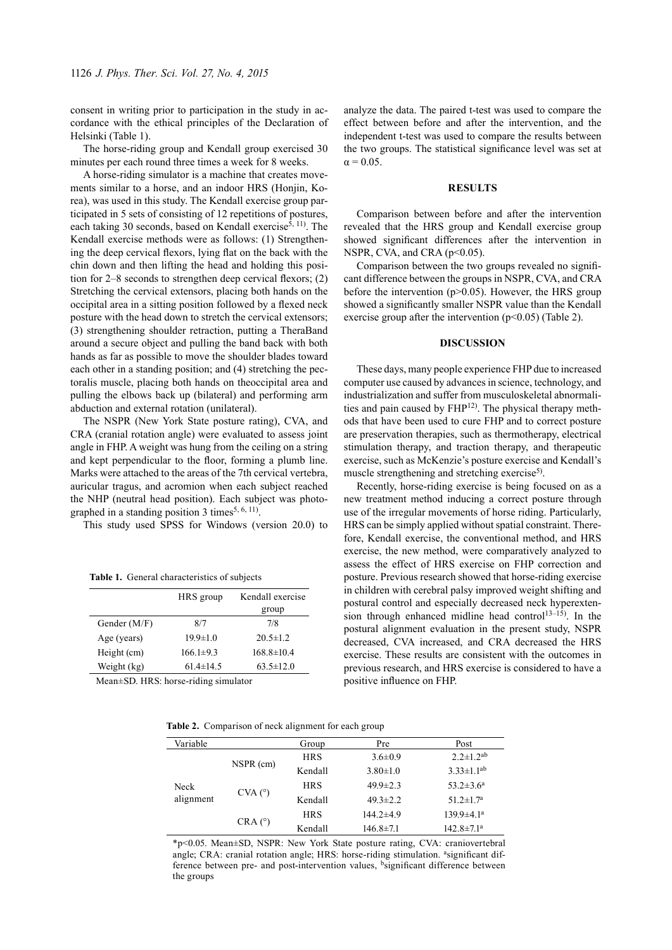consent in writing prior to participation in the study in accordance with the ethical principles of the Declaration of Helsinki (Table 1).

The horse-riding group and Kendall group exercised 30 minutes per each round three times a week for 8 weeks.

A horse-riding simulator is a machine that creates movements similar to a horse, and an indoor HRS (Honjin, Korea), was used in this study. The Kendall exercise group participated in 5 sets of consisting of 12 repetitions of postures, each taking 30 seconds, based on Kendall exercise<sup>5, 11</sup>). The Kendall exercise methods were as follows: (1) Strengthening the deep cervical flexors, lying flat on the back with the chin down and then lifting the head and holding this position for 2–8 seconds to strengthen deep cervical flexors; (2) Stretching the cervical extensors, placing both hands on the occipital area in a sitting position followed by a flexed neck posture with the head down to stretch the cervical extensors; (3) strengthening shoulder retraction, putting a TheraBand around a secure object and pulling the band back with both hands as far as possible to move the shoulder blades toward each other in a standing position; and (4) stretching the pectoralis muscle, placing both hands on theoccipital area and pulling the elbows back up (bilateral) and performing arm abduction and external rotation (unilateral).

The NSPR (New York State posture rating), CVA, and CRA (cranial rotation angle) were evaluated to assess joint angle in FHP. A weight was hung from the ceiling on a string and kept perpendicular to the floor, forming a plumb line. Marks were attached to the areas of the 7th cervical vertebra, auricular tragus, and acromion when each subject reached the NHP (neutral head position). Each subject was photographed in a standing position 3 times<sup>5,  $6$ ,  $11$ ).</sup>

This study used SPSS for Windows (version 20.0) to

**Table 1.** General characteristics of subjects

|                | HRS group       | Kendall exercise |  |
|----------------|-----------------|------------------|--|
|                |                 | group            |  |
| Gender $(M/F)$ | 8/7             | 7/8              |  |
| Age (years)    | $19.9 \pm 1.0$  | $20.5 \pm 1.2$   |  |
| Height (cm)    | $166.1 \pm 9.3$ | $168.8 \pm 10.4$ |  |
| Weight (kg)    | $61.4 \pm 14.5$ | $63.5 \pm 12.0$  |  |
|                |                 |                  |  |

Mean±SD. HRS: horse-riding simulator

**Table 2.** Comparison of neck alignment for each group

| Variable          |                     | Group      | Pre             | Post                         |
|-------------------|---------------------|------------|-----------------|------------------------------|
| Neck<br>alignment |                     | <b>HRS</b> | $3.6 \pm 0.9$   | $2.2 \pm 1.2^{ab}$           |
|                   | NSPR (cm)           | Kendall    | $3.80 \pm 1.0$  | $3.33 \pm 1.1$ <sup>ab</sup> |
|                   | $CVA$ ( $\degree$ ) | <b>HRS</b> | $49.9 \pm 2.3$  | $53.2 \pm 3.6^a$             |
|                   |                     | Kendall    | $49.3 \pm 2.2$  | 51.2 $\pm$ 1.7 <sup>a</sup>  |
|                   | $CRA(^{\circ})$     | <b>HRS</b> | $144.2 \pm 4.9$ | $139.9 \pm 4.1^a$            |
|                   |                     | Kendall    | $146.8 \pm 7.1$ | $142.8 \pm 7.1$ <sup>a</sup> |

\*p<0.05. Mean±SD, NSPR: New York State posture rating, CVA: craniovertebral angle; CRA: cranial rotation angle; HRS: horse-riding stimulation. <sup>a</sup>significant difference between pre- and post-intervention values, bsignificant difference between the groups

analyze the data. The paired t-test was used to compare the effect between before and after the intervention, and the independent t-test was used to compare the results between the two groups. The statistical significance level was set at  $\alpha$  = 0.05.

#### **RESULTS**

Comparison between before and after the intervention revealed that the HRS group and Kendall exercise group showed significant differences after the intervention in NSPR, CVA, and CRA (p<0.05).

Comparison between the two groups revealed no significant difference between the groups in NSPR, CVA, and CRA before the intervention  $(p>0.05)$ . However, the HRS group showed a significantly smaller NSPR value than the Kendall exercise group after the intervention  $(p<0.05)$  (Table 2).

#### **DISCUSSION**

These days, many people experience FHP due to increased computer use caused by advances in science, technology, and industrialization and suffer from musculoskeletal abnormali-ties and pain caused by FHP<sup>[12\)](#page-2-9)</sup>. The physical therapy methods that have been used to cure FHP and to correct posture are preservation therapies, such as thermotherapy, electrical stimulation therapy, and traction therapy, and therapeutic exercise, such as McKenzie's posture exercise and Kendall's muscle strengthening and stretching exercise<sup>5)</sup>.

Recently, horse-riding exercise is being focused on as a new treatment method inducing a correct posture through use of the irregular movements of horse riding. Particularly, HRS can be simply applied without spatial constraint. Therefore, Kendall exercise, the conventional method, and HRS exercise, the new method, were comparatively analyzed to assess the effect of HRS exercise on FHP correction and posture. Previous research showed that horse-riding exercise in children with cerebral palsy improved weight shifting and postural control and especially decreased neck hyperextension through enhanced midline head control<sup>13-15</sup>). In the postural alignment evaluation in the present study, NSPR decreased, CVA increased, and CRA decreased the HRS exercise. These results are consistent with the outcomes in previous research, and HRS exercise is considered to have a positive influence on FHP.